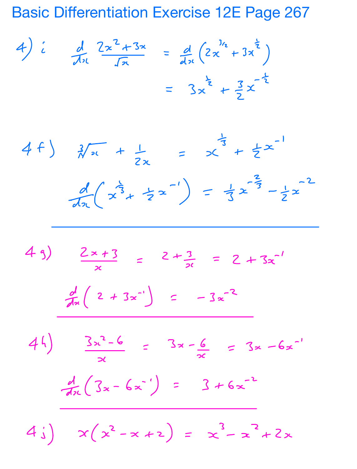**Basic Differentiation Exercise 12E Page 267** 

4)  $i$  d  $2x^{2}+3x$  =  $d$   $(2x^{1/2}+3x^{2})$ =  $3x^{2} + 3x^{-2}$ 

 $4f$ )  $\frac{3}{x}x + \frac{1}{2x} = x^{\frac{1}{3}} + \frac{1}{2}x^{-1}$  $\frac{d}{dx}(x^{\frac{1}{3}} + \frac{1}{2}x^{-1}) = \frac{1}{3}x^{-\frac{1}{3}} - \frac{1}{2}x^{-2}$  $49)$   $\frac{2x+3}{x}$  =  $2+\frac{3}{26}$  =  $2+3x^{-1}$  $\frac{d}{dx}$  ( 2 + 3x<sup>-1</sup>) = -3x<sup>-2</sup>  $44)$   $3x^2-6$  =  $3x-\frac{6}{x}$  =  $3x-6x^{-1}$  $\frac{d}{dx}(3x-6x^{-1}) = 3+6x^{-2}$  $4i)$   $x(x^2-x+2) = x^3-x^2+2x$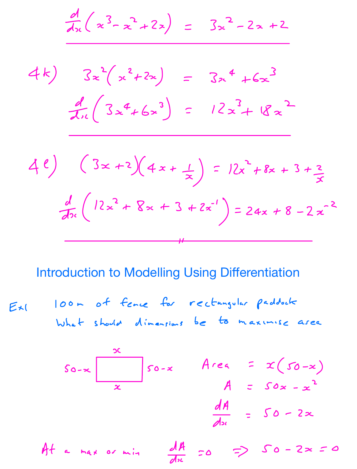$$
\frac{d}{dx}(x^{3}-x^{2}+2x) = 3x^{2}-2x+2
$$
\n
$$
4x \int 3x^{2}(x^{2}+2x) = 3x^{4}+6x^{3}
$$
\n
$$
\frac{d}{dx}(3x^{4}+6x^{3}) = 12x^{3}+18x^{2}
$$
\n
$$
\frac{d}{dx}(3x^{4}+6x^{3}) = 12x^{2}+18x+3+2
$$
\n
$$
\frac{d}{dx}(12x^{2}+8x+3+2x^{1}) = 24x+8-2x^{2}
$$

Introduction to Modelling Using Differentiation

, Ext Oom of fence for rectangular paddock What should dimensions be to maximise area

$$
S_{0-x} \frac{\alpha}{x} S_{0-x} \qquad A \neq \alpha = x(S_{0-x})
$$
\n
$$
A = S_{0x-x}^{2}
$$
\n
$$
\frac{dA}{dx} = S_{0-x}^{2}
$$

At a max or min  $\frac{dA}{dx}$  = 0 = >  $S$  0 - 2 x = 0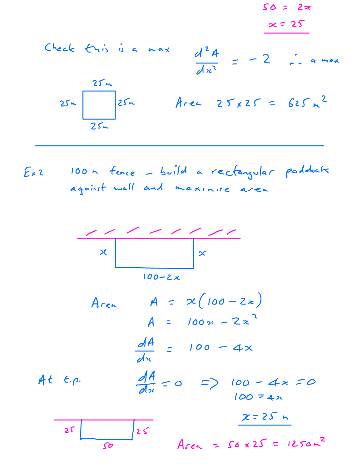

100 m fence - build a rectangular paddocte  $Ex2$ against wall and maxinise area



 $100 - 2x$ 

 $Area$   $A = x(100 - 2x)$  $A = 100x - 2x^2$  $\frac{dA}{dx}$  = 100 - 4x  $\frac{dA}{dx} = 0$  =>  $100 - 4x = 0$  $At$   $\epsilon$ .p.  $100 = 42$  $x = 25n$  $25$  $25$  $Area = 56 \times 25 = 1250 m^2$